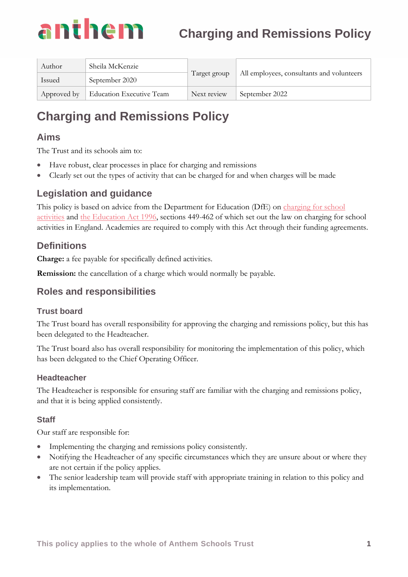# anthem **Charging and Remissions Policy**

| Author      | Sheila McKenzie          | Target group | All employees, consultants and volunteers |
|-------------|--------------------------|--------------|-------------------------------------------|
| Issued      | September 2020           |              |                                           |
| Approved by | Education Executive Team | Next review  | September 2022                            |

# **Charging and Remissions Policy**

# **Aims**

The Trust and its schools aim to:

- Have robust, clear processes in place for charging and remissions
- Clearly set out the types of activity that can be charged for and when charges will be made

# **Legislation and guidance**

This policy is based on advice from the Department for Education (DfE) on charging for school [activities](https://www.gov.uk/government/publications/charging-for-school-activities) and [the Education Act 1996,](http://www.legislation.gov.uk/ukpga/1996/56/part/VI/chapter/III) sections 449-462 of which set out the law on charging for school activities in England. Academies are required to comply with this Act through their funding agreements.

# **Definitions**

**Charge:** a fee payable for specifically defined activities.

**Remission:** the cancellation of a charge which would normally be payable.

# **Roles and responsibilities**

#### **Trust board**

The Trust board has overall responsibility for approving the charging and remissions policy, but this has been delegated to the Headteacher.

The Trust board also has overall responsibility for monitoring the implementation of this policy, which has been delegated to the Chief Operating Officer.

#### **Headteacher**

The Headteacher is responsible for ensuring staff are familiar with the charging and remissions policy, and that it is being applied consistently.

## **Staff**

Our staff are responsible for:

- Implementing the charging and remissions policy consistently.
- Notifying the Headteacher of any specific circumstances which they are unsure about or where they are not certain if the policy applies.
- The senior leadership team will provide staff with appropriate training in relation to this policy and its implementation.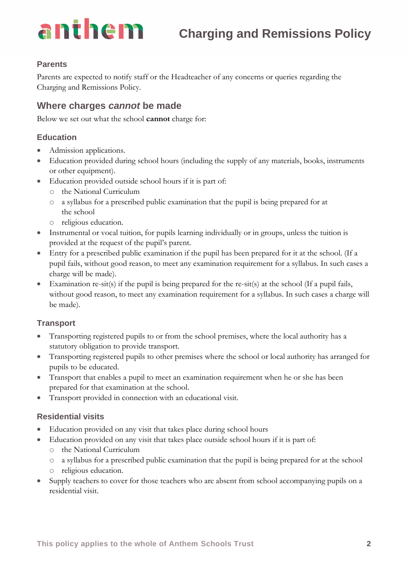# anthem

#### **Parents**

Parents are expected to notify staff or the Headteacher of any concerns or queries regarding the Charging and Remissions Policy.

# **Where charges** *cannot* **be made**

Below we set out what the school **cannot** charge for:

#### **Education**

- Admission applications.
- Education provided during school hours (including the supply of any materials, books, instruments or other equipment).
- Education provided outside school hours if it is part of:
	- o the National Curriculum
	- o a syllabus for a prescribed public examination that the pupil is being prepared for at the school
	- o religious education.
- Instrumental or vocal tuition, for pupils learning individually or in groups, unless the tuition is provided at the request of the pupil's parent.
- Entry for a prescribed public examination if the pupil has been prepared for it at the school. (If a pupil fails, without good reason, to meet any examination requirement for a syllabus. In such cases a charge will be made).
- Examination re-sit(s) if the pupil is being prepared for the re-sit(s) at the school (If a pupil fails, without good reason, to meet any examination requirement for a syllabus. In such cases a charge will be made).

#### **Transport**

- Transporting registered pupils to or from the school premises, where the local authority has a statutory obligation to provide transport.
- Transporting registered pupils to other premises where the school or local authority has arranged for pupils to be educated.
- Transport that enables a pupil to meet an examination requirement when he or she has been prepared for that examination at the school.
- Transport provided in connection with an educational visit.

#### **Residential visits**

- Education provided on any visit that takes place during school hours
- Education provided on any visit that takes place outside school hours if it is part of:
	- o the National Curriculum
	- o a syllabus for a prescribed public examination that the pupil is being prepared for at the school o religious education.
- Supply teachers to cover for those teachers who are absent from school accompanying pupils on a residential visit.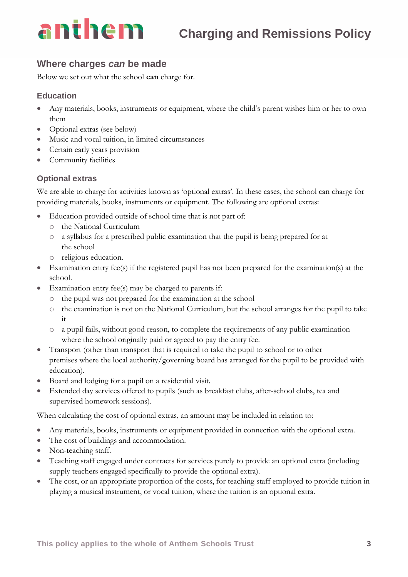

#### **Where charges** *can* **be made**

Below we set out what the school **can** charge for.

#### **Education**

- Any materials, books, instruments or equipment, where the child's parent wishes him or her to own them
- Optional extras (see below)
- Music and vocal tuition, in limited circumstances
- Certain early years provision
- Community facilities

#### **Optional extras**

We are able to charge for activities known as 'optional extras'. In these cases, the school can charge for providing materials, books, instruments or equipment. The following are optional extras:

- Education provided outside of school time that is not part of:
	- o the National Curriculum
	- o a syllabus for a prescribed public examination that the pupil is being prepared for at the school
	- o religious education.
- Examination entry fee(s) if the registered pupil has not been prepared for the examination(s) at the school.
- Examination entry fee(s) may be charged to parents if:
	- o the pupil was not prepared for the examination at the school
	- o the examination is not on the National Curriculum, but the school arranges for the pupil to take it
	- o a pupil fails, without good reason, to complete the requirements of any public examination where the school originally paid or agreed to pay the entry fee.
- Transport (other than transport that is required to take the pupil to school or to other premises where the local authority/governing board has arranged for the pupil to be provided with education).
- Board and lodging for a pupil on a residential visit.
- Extended day services offered to pupils (such as breakfast clubs, after-school clubs, tea and supervised homework sessions).

When calculating the cost of optional extras, an amount may be included in relation to:

- Any materials, books, instruments or equipment provided in connection with the optional extra.
- The cost of buildings and accommodation.
- Non-teaching staff.
- Teaching staff engaged under contracts for services purely to provide an optional extra (including supply teachers engaged specifically to provide the optional extra).
- The cost, or an appropriate proportion of the costs, for teaching staff employed to provide tuition in playing a musical instrument, or vocal tuition, where the tuition is an optional extra.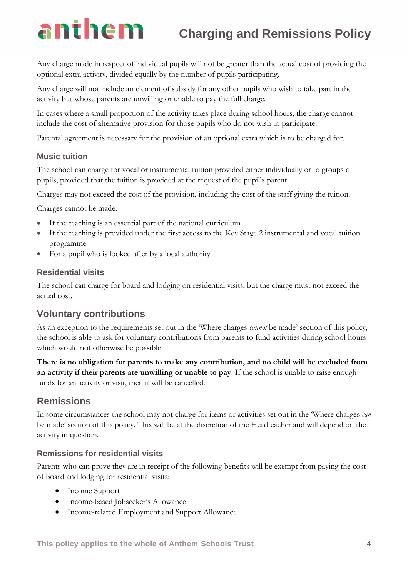# anthem **Charging and Remissions Policy**

Any charge made in respect of individual pupils will not be greater than the actual cost of providing the optional extra activity, divided equally by the number of pupils participating.

Any charge will not include an element of subsidy for any other pupils who wish to take part in the activity but whose parents are unwilling or unable to pay the full charge.

In cases where a small proportion of the activity takes place during school hours, the charge cannot include the cost of alternative provision for those pupils who do not wish to participate.

Parental agreement is necessary for the provision of an optional extra which is to be charged for.

#### **Music tuition**

The school can charge for vocal or instrumental tuition provided either individually or to groups of pupils, provided that the tuition is provided at the request of the pupil's parent.

Charges may not exceed the cost of the provision, including the cost of the staff giving the tuition.

Charges cannot be made:

- If the teaching is an essential part of the national curriculum
- If the teaching is provided under the first access to the Key Stage 2 instrumental and vocal tuition programme
- For a pupil who is looked after by a local authority

#### **Residential visits**

The school can charge for board and lodging on residential visits, but the charge must not exceed the actual cost.

#### **Voluntary contributions**

As an exception to the requirements set out in the 'Where charges *cannot* be made' section of this policy, the school is able to ask for voluntary contributions from parents to fund activities during school hours which would not otherwise be possible.

**There is no obligation for parents to make any contribution, and no child will be excluded from an activity if their parents are unwilling or unable to pay**. If the school is unable to raise enough funds for an activity or visit, then it will be cancelled.

## **Remissions**

In some circumstances the school may not charge for items or activities set out in the 'Where charges *can* be made' section of this policy. This will be at the discretion of the Headteacher and will depend on the activity in question.

#### **Remissions for residential visits**

Parents who can prove they are in receipt of the following benefits will be exempt from paying the cost of board and lodging for residential visits:

- Income Support
- Income-based Jobseeker's Allowance
- Income-related Employment and Support Allowance